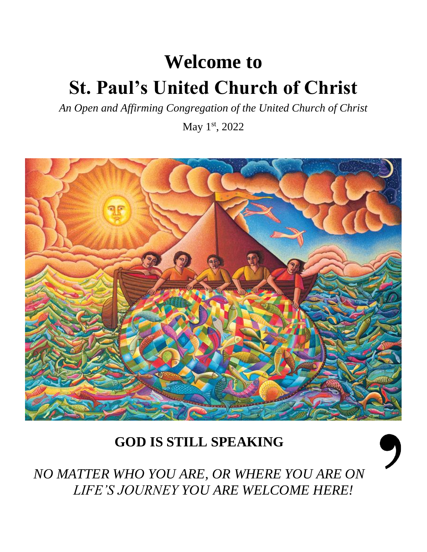# **Welcome to St. Paul's United Church of Christ**

*An Open and Affirming Congregation of the United Church of Christ*

May 1<sup>st</sup>, 2022



## **GOD IS STILL SPEAKING**



*NO MATTER WHO YOU ARE, OR WHERE YOU ARE ON LIFE'S JOURNEY YOU ARE WELCOME HERE!*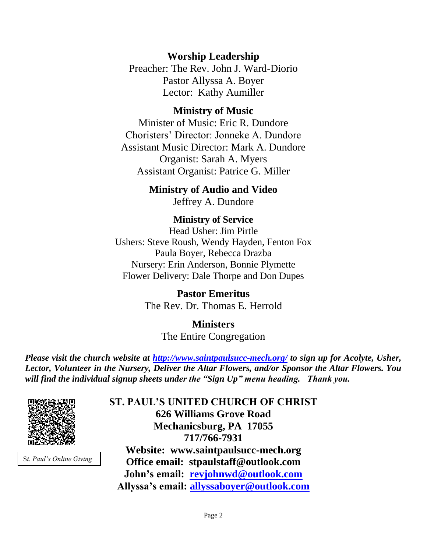#### **Worship Leadership**

Preacher: The Rev. John J. Ward-Diorio Pastor Allyssa A. Boyer Lector: Kathy Aumiller

#### **Ministry of Music**

Minister of Music: Eric R. Dundore Choristers' Director: Jonneke A. Dundore Assistant Music Director: Mark A. Dundore Organist: Sarah A. Myers Assistant Organist: Patrice G. Miller

### **Ministry of Audio and Video**

Jeffrey A. Dundore

#### **Ministry of Service**

Head Usher: Jim Pirtle Ushers: Steve Roush, Wendy Hayden, Fenton Fox Paula Boyer, Rebecca Drazba Nursery: Erin Anderson, Bonnie Plymette Flower Delivery: Dale Thorpe and Don Dupes

> **Pastor Emeritus** The Rev. Dr. Thomas E. Herrold

> > **Ministers** The Entire Congregation

*Please visit the church website at<http://www.saintpaulsucc-mech.org/> to sign up for Acolyte, Usher, Lector, Volunteer in the Nursery, Deliver the Altar Flowers, and/or Sponsor the Altar Flowers. You will find the individual signup sheets under the "Sign Up" menu heading. Thank you.*



S*t. Paul's Online Giving*

**ST. PAUL'S UNITED CHURCH OF CHRIST 626 Williams Grove Road Mechanicsburg, PA 17055 717/766-7931 Website: www.saintpaulsucc-mech.org Office email: stpaulstaff@outlook.com John's email: [revjohnwd@outlook.com](mailto:revjohnwd@outlook.com) Allyssa's email: [allyssaboyer@outlook.com](mailto:allyssaboyer@outlook.com)**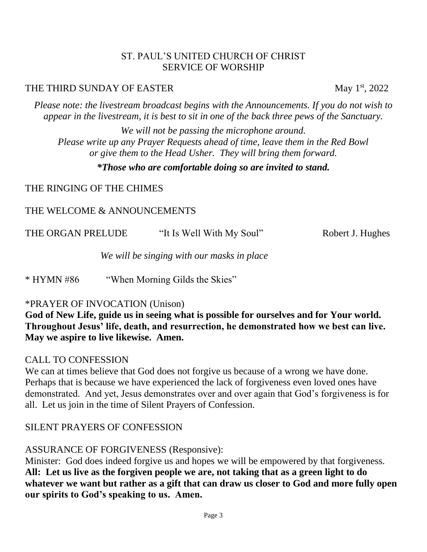#### ST. PAUL'S UNITED CHURCH OF CHRIST SERVICE OF WORSHIP

#### THE THIRD SUNDAY OF EASTER May 1<sup>st</sup>, 2022

*Please note: the livestream broadcast begins with the Announcements. If you do not wish to appear in the livestream, it is best to sit in one of the back three pews of the Sanctuary.*

*We will not be passing the microphone around. Please write up any Prayer Requests ahead of time, leave them in the Red Bowl or give them to the Head Usher. They will bring them forward.*

#### *\*Those who are comfortable doing so are invited to stand.*

THE RINGING OF THE CHIMES

#### THE WELCOME & ANNOUNCEMENTS

| THE ORGAN PRELUDE | "It Is Well With My Soul" | Robert J. Hughes |
|-------------------|---------------------------|------------------|
|                   |                           |                  |

*We will be singing with our masks in place*

\* HYMN #86 "When Morning Gilds the Skies"

#### \*PRAYER OF INVOCATION (Unison)

**God of New Life, guide us in seeing what is possible for ourselves and for Your world. Throughout Jesus' life, death, and resurrection, he demonstrated how we best can live. May we aspire to live likewise. Amen.**

#### CALL TO CONFESSION

We can at times believe that God does not forgive us because of a wrong we have done. Perhaps that is because we have experienced the lack of forgiveness even loved ones have demonstrated. And yet, Jesus demonstrates over and over again that God's forgiveness is for all. Let us join in the time of Silent Prayers of Confession.

#### SILENT PRAYERS OF CONFESSION

#### ASSURANCE OF FORGIVENESS (Responsive):

Minister: God does indeed forgive us and hopes we will be empowered by that forgiveness. **All: Let us live as the forgiven people we are, not taking that as a green light to do whatever we want but rather as a gift that can draw us closer to God and more fully open our spirits to God's speaking to us. Amen.**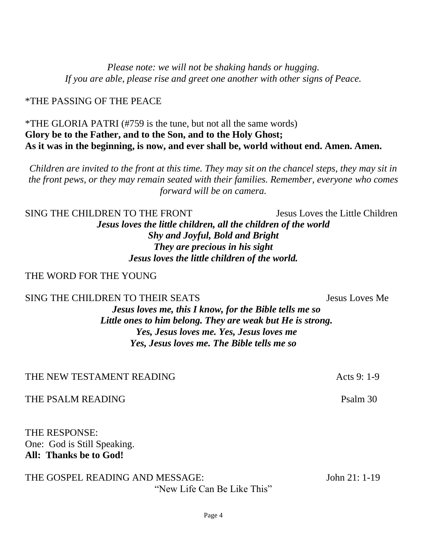*Please note: we will not be shaking hands or hugging. If you are able, please rise and greet one another with other signs of Peace.*

\*THE PASSING OF THE PEACE

\*THE GLORIA PATRI (#759 is the tune, but not all the same words) **Glory be to the Father, and to the Son, and to the Holy Ghost; As it was in the beginning, is now, and ever shall be, world without end. Amen. Amen.**

*Children are invited to the front at this time. They may sit on the chancel steps, they may sit in the front pews, or they may remain seated with their families. Remember, everyone who comes forward will be on camera.* 

SING THE CHILDREN TO THE FRONT Jesus Loves the Little Children *Jesus loves the little children, all the children of the world Shy and Joyful, Bold and Bright They are precious in his sight Jesus loves the little children of the world.*

#### THE WORD FOR THE YOUNG

SING THE CHILDREN TO THEIR SEATS SEATS SEARCH SEARCH SEARCH SEARCH SEARCH SEARCH SEARCH SEARCH SEARCH SEARCH SEARCH SEARCH SEARCH SEARCH SEARCH SEARCH SEARCH SEARCH SEARCH SEARCH SEARCH SEARCH SEARCH SEARCH SEARCH SEARCH S

*Jesus loves me, this I know, for the Bible tells me so Little ones to him belong. They are weak but He is strong. Yes, Jesus loves me. Yes, Jesus loves me Yes, Jesus loves me. The Bible tells me so*

THE NEW TESTAMENT READING THE MESS OF 1-9

THE PSALM READING Psalm 30

THE RESPONSE: One: God is Still Speaking. **All: Thanks be to God!** 

THE GOSPEL READING AND MESSAGE: John 21: 1-19 "New Life Can Be Like This"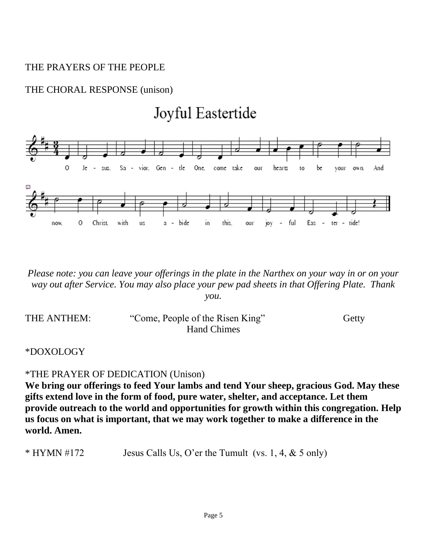#### THE PRAYERS OF THE PEOPLE

#### THE CHORAL RESPONSE (unison)



*Please note: you can leave your offerings in the plate in the Narthex on your way in or on your way out after Service. You may also place your pew pad sheets in that Offering Plate. Thank you.* 

| THE ANTHEM: | "Come, People of the Risen King" | Getty |
|-------------|----------------------------------|-------|
|             | Hand Chimes                      |       |

### \*DOXOLOGY

#### \*THE PRAYER OF DEDICATION (Unison)

**We bring our offerings to feed Your lambs and tend Your sheep, gracious God. May these gifts extend love in the form of food, pure water, shelter, and acceptance. Let them provide outreach to the world and opportunities for growth within this congregation. Help us focus on what is important, that we may work together to make a difference in the world. Amen.** 

\* HYMN #172 Jesus Calls Us, O'er the Tumult (vs. 1, 4, & 5 only)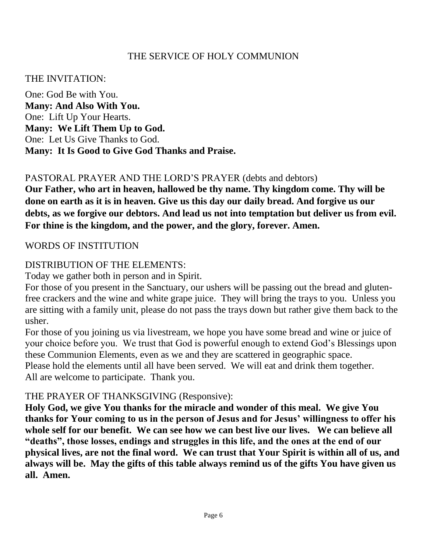#### THE SERVICE OF HOLY COMMUNION

#### THE INVITATION:

One: God Be with You. **Many: And Also With You.** One: Lift Up Your Hearts. **Many: We Lift Them Up to God.** One: Let Us Give Thanks to God. **Many: It Is Good to Give God Thanks and Praise.**

#### PASTORAL PRAYER AND THE LORD'S PRAYER (debts and debtors)

**Our Father, who art in heaven, hallowed be thy name. Thy kingdom come. Thy will be done on earth as it is in heaven. Give us this day our daily bread. And forgive us our debts, as we forgive our debtors. And lead us not into temptation but deliver us from evil. For thine is the kingdom, and the power, and the glory, forever. Amen.** 

#### WORDS OF INSTITUTION

#### DISTRIBUTION OF THE ELEMENTS:

Today we gather both in person and in Spirit.

For those of you present in the Sanctuary, our ushers will be passing out the bread and glutenfree crackers and the wine and white grape juice. They will bring the trays to you. Unless you are sitting with a family unit, please do not pass the trays down but rather give them back to the usher.

For those of you joining us via livestream, we hope you have some bread and wine or juice of your choice before you. We trust that God is powerful enough to extend God's Blessings upon these Communion Elements, even as we and they are scattered in geographic space.

Please hold the elements until all have been served. We will eat and drink them together. All are welcome to participate. Thank you.

#### THE PRAYER OF THANKSGIVING (Responsive):

**Holy God, we give You thanks for the miracle and wonder of this meal. We give You thanks for Your coming to us in the person of Jesus and for Jesus' willingness to offer his whole self for our benefit. We can see how we can best live our lives. We can believe all "deaths", those losses, endings and struggles in this life, and the ones at the end of our physical lives, are not the final word. We can trust that Your Spirit is within all of us, and always will be. May the gifts of this table always remind us of the gifts You have given us all. Amen.**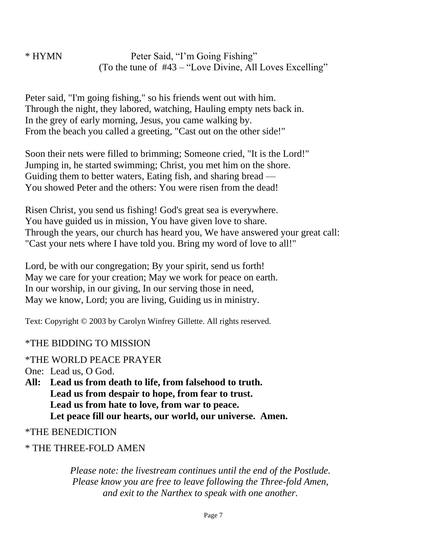\* HYMN Peter Said, "I'm Going Fishing" (To the tune of #43 – "Love Divine, All Loves Excelling"

Peter said, "I'm going fishing," so his friends went out with him. Through the night, they labored, watching, Hauling empty nets back in. In the grey of early morning, Jesus, you came walking by. From the beach you called a greeting, "Cast out on the other side!"

Soon their nets were filled to brimming; Someone cried, "It is the Lord!" Jumping in, he started swimming; Christ, you met him on the shore. Guiding them to better waters, Eating fish, and sharing bread — You showed Peter and the others: You were risen from the dead!

Risen Christ, you send us fishing! God's great sea is everywhere. You have guided us in mission, You have given love to share. Through the years, our church has heard you, We have answered your great call: "Cast your nets where I have told you. Bring my word of love to all!"

Lord, be with our congregation; By your spirit, send us forth! May we care for your creation; May we work for peace on earth. In our worship, in our giving, In our serving those in need, May we know, Lord; you are living, Guiding us in ministry.

Text: Copyright © 2003 by Carolyn Winfrey Gillette. All rights reserved.

#### \*THE BIDDING TO MISSION

\*THE WORLD PEACE PRAYER

One: Lead us, O God.

**All: Lead us from death to life, from falsehood to truth. Lead us from despair to hope, from fear to trust. Lead us from hate to love, from war to peace. Let peace fill our hearts, our world, our universe. Amen.**

\*THE BENEDICTION

\* THE THREE-FOLD AMEN

*Please note: the livestream continues until the end of the Postlude. Please know you are free to leave following the Three-fold Amen, and exit to the Narthex to speak with one another.*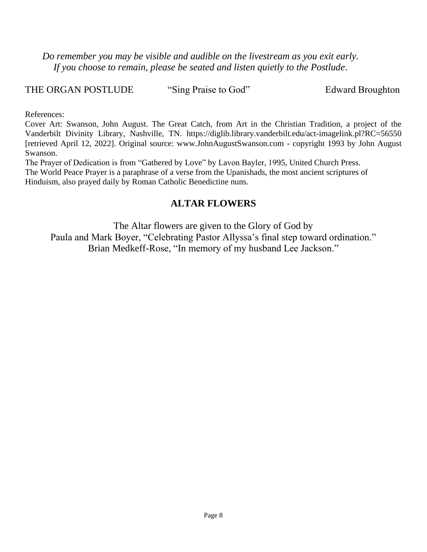*Do remember you may be visible and audible on the livestream as you exit early. If you choose to remain, please be seated and listen quietly to the Postlude.*

THE ORGAN POSTLUDE "Sing Praise to God" Edward Broughton

References:

Cover Art: Swanson, John August. The Great Catch, from Art in the Christian Tradition, a project of the Vanderbilt Divinity Library, Nashville, TN. https://diglib.library.vanderbilt.edu/act-imagelink.pl?RC=56550 [retrieved April 12, 2022]. Original source: www.JohnAugustSwanson.com - copyright 1993 by John August Swanson.

The Prayer of Dedication is from "Gathered by Love" by Lavon Bayler, 1995, United Church Press. The World Peace Prayer is a paraphrase of a verse from the Upanishads, the most ancient scriptures of Hinduism, also prayed daily by Roman Catholic Benedictine nuns.

#### **ALTAR FLOWERS**

The Altar flowers are given to the Glory of God by Paula and Mark Boyer, "Celebrating Pastor Allyssa's final step toward ordination." Brian Medkeff-Rose, "In memory of my husband Lee Jackson."